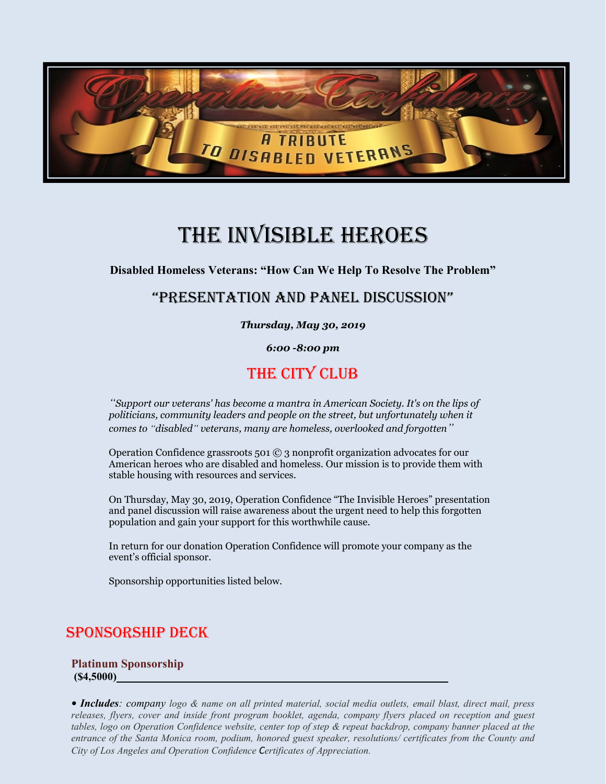

# The invisible Heroes

**Disabled Homeless Veterans: "How Can We Help To Resolve The Problem"**

# "Presentation and Panel Discussion"

*Thursday, May 30, 2019*

*6:00 -8:00 pm*

# THE CITY CLUB

*"Support our veterans' has become a mantra in American Society. It's on the lips of politicians, community leaders and people on the street, but unfortunately when it comes to "disabled" veterans, many are homeless, overlooked and forgotten"*

Operation Confidence grassroots 501 © 3 nonprofit organization advocates for our American heroes who are disabled and homeless. Our mission is to provide them with stable housing with resources and services.

On Thursday, May 30, 2019, Operation Confidence "The Invisible Heroes" presentation and panel discussion will raise awareness about the urgent need to help this forgotten population and gain your support for this worthwhile cause.

In return for our donation Operation Confidence will promote your company as the event's official sponsor.

Sponsorship opportunities listed below.

# Sponsorship Deck

## **Platinum Sponsorship (\$4,5000)**

*• Includes: company logo & name on all printed material, social media outlets, email blast, direct mail, press releases, flyers, cover and inside front program booklet, agenda, company flyers placed on reception and guest tables, logo on Operation Confidence website, center top of step & repeat backdrop, company banner placed at the entrance of the Santa Monica room, podium, honored guest speaker, resolutions/ certificates from the County and City of Los Angeles and Operation Confidence Certificates of Appreciation.*